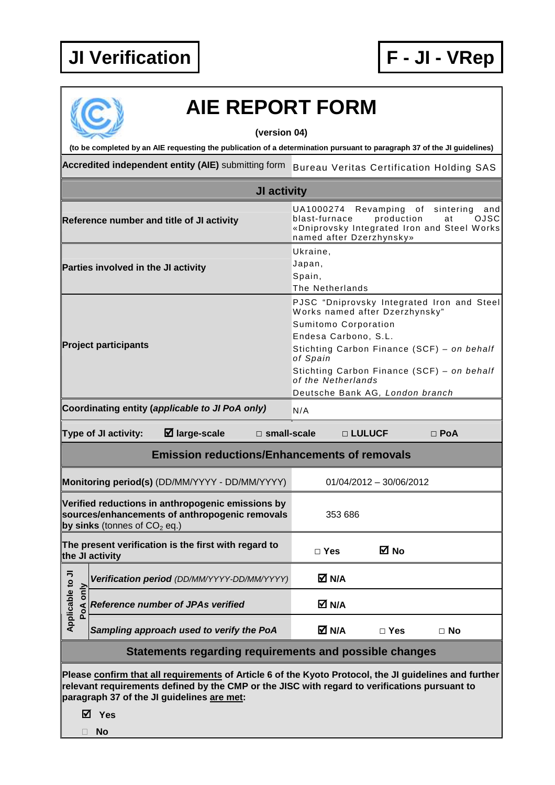

**No** 

## **AIE REPORT FORM**

**(version 04)** 

**(to be completed by an AIE requesting the publication of a determination pursuant to paragraph 37 of the JI guidelines)** 

Accredited independent entity (AIE) submitting form Bureau Veritas Certification Holding SAS

|                                         | JI activity                                                                                                                                                                                                                                                           |                                                                                                                  |                                 |                                                                                                                                        |
|-----------------------------------------|-----------------------------------------------------------------------------------------------------------------------------------------------------------------------------------------------------------------------------------------------------------------------|------------------------------------------------------------------------------------------------------------------|---------------------------------|----------------------------------------------------------------------------------------------------------------------------------------|
|                                         | Reference number and title of JI activity                                                                                                                                                                                                                             | UA1000274<br>blast-furnace<br>named after Dzerzhynsky»                                                           | Revamping<br>production         | sintering<br>of<br>and<br><b>OJSC</b><br>at<br>«Dniprovsky Integrated Iron and Steel Works                                             |
|                                         | Parties involved in the JI activity                                                                                                                                                                                                                                   | Ukraine,<br>Japan,<br>Spain,<br>The Netherlands                                                                  |                                 |                                                                                                                                        |
|                                         | <b>Project participants</b>                                                                                                                                                                                                                                           | Works named after Dzerzhynsky"<br>Sumitomo Corporation<br>Endesa Carbono, S.L.<br>of Spain<br>of the Netherlands | Deutsche Bank AG, London branch | PJSC "Dniprovsky Integrated Iron and Steel<br>Stichting Carbon Finance (SCF) - on behalf<br>Stichting Carbon Finance (SCF) - on behalf |
|                                         | Coordinating entity (applicable to JI PoA only)                                                                                                                                                                                                                       | N/A                                                                                                              |                                 |                                                                                                                                        |
|                                         | $\boxtimes$ large-scale<br>Type of JI activity:<br>$\square$ small-scale                                                                                                                                                                                              |                                                                                                                  | □ LULUCF                        | $\Box$ PoA                                                                                                                             |
|                                         | <b>Emission reductions/Enhancements of removals</b>                                                                                                                                                                                                                   |                                                                                                                  |                                 |                                                                                                                                        |
|                                         | Monitoring period(s) (DD/MM/YYYY - DD/MM/YYYY)                                                                                                                                                                                                                        |                                                                                                                  | 01/04/2012 - 30/06/2012         |                                                                                                                                        |
|                                         | Verified reductions in anthropogenic emissions by<br>sources/enhancements of anthropogenic removals<br>by sinks (tonnes of $CO2$ eq.)                                                                                                                                 | 353 686                                                                                                          |                                 |                                                                                                                                        |
|                                         | The present verification is the first with regard to<br>the JI activity                                                                                                                                                                                               | $\Box$ Yes                                                                                                       | M No                            |                                                                                                                                        |
| ال<br>و                                 | Verification period (DD/MM/YYYY-DD/MM/YYYY)                                                                                                                                                                                                                           | M N/A                                                                                                            |                                 |                                                                                                                                        |
| Σp<br>Ф<br>$\circ$<br>Applicable<br>PoA | <b>Reference number of JPAs verified</b>                                                                                                                                                                                                                              | M N/A                                                                                                            |                                 |                                                                                                                                        |
|                                         | Sampling approach used to verify the PoA                                                                                                                                                                                                                              | M N/A                                                                                                            | $\Box$ Yes                      | $\Box$ No                                                                                                                              |
|                                         | Statements regarding requirements and possible changes                                                                                                                                                                                                                |                                                                                                                  |                                 |                                                                                                                                        |
|                                         | Please confirm that all requirements of Article 6 of the Kyoto Protocol, the JI guidelines and further<br>relevant requirements defined by the CMP or the JISC with regard to verifications pursuant to<br>paragraph 37 of the JI guidelines are met:<br><b>☑</b> Yes |                                                                                                                  |                                 |                                                                                                                                        |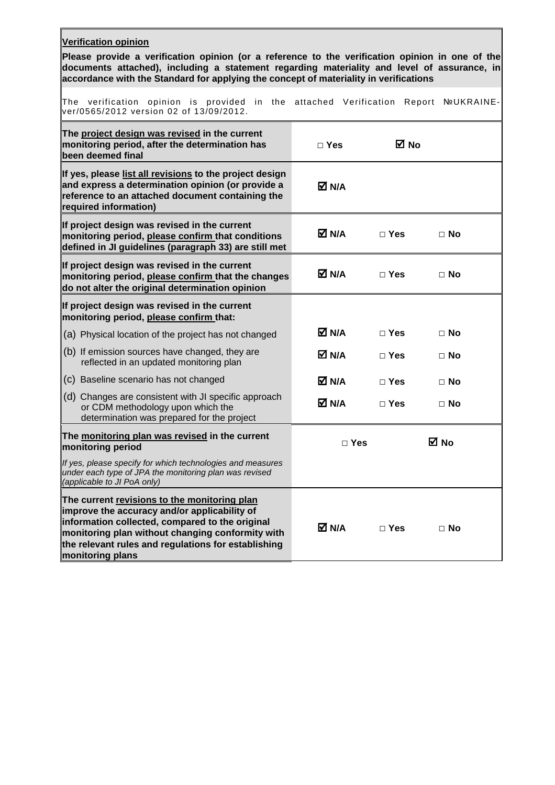| <b>Verification opinion</b><br>Please provide a verification opinion (or a reference to the verification opinion in one of the<br>documents attached), including a statement regarding materiality and level of assurance, in<br>accordance with the Standard for applying the concept of materiality in verifications |                       |            |                   |
|------------------------------------------------------------------------------------------------------------------------------------------------------------------------------------------------------------------------------------------------------------------------------------------------------------------------|-----------------------|------------|-------------------|
| The verification opinion is provided<br>in the<br>ver/0565/2012 version 02 of 13/09/2012.                                                                                                                                                                                                                              | attached Verification | Report     | <b>NºUKRAINE-</b> |
| The project design was revised in the current<br>monitoring period, after the determination has<br>been deemed final                                                                                                                                                                                                   | $\square$ Yes         | ⊠ No       |                   |
| If yes, please list all revisions to the project design<br>and express a determination opinion (or provide a<br>reference to an attached document containing the<br>required information)                                                                                                                              | M N/A                 |            |                   |
| If project design was revised in the current<br>monitoring period, please confirm that conditions<br>defined in JI guidelines (paragraph 33) are still met                                                                                                                                                             | M N/A                 | $\Box$ Yes | $\Box$ No         |
| If project design was revised in the current<br>monitoring period, please confirm that the changes<br>do not alter the original determination opinion                                                                                                                                                                  | M N/A                 | $\Box$ Yes | $\Box$ No         |
| If project design was revised in the current<br>monitoring period, please confirm that:                                                                                                                                                                                                                                |                       |            |                   |
| (a) Physical location of the project has not changed                                                                                                                                                                                                                                                                   | M N/A                 | $\Box$ Yes | $\Box$ No         |
| $(6)$ If emission sources have changed, they are<br>reflected in an updated monitoring plan                                                                                                                                                                                                                            | M N/A                 | $\Box$ Yes | $\Box$ No         |
| (c) Baseline scenario has not changed                                                                                                                                                                                                                                                                                  | M N/A                 | $\Box$ Yes | $\Box$ No         |
| (d) Changes are consistent with JI specific approach<br>or CDM methodology upon which the<br>determination was prepared for the project                                                                                                                                                                                | M N/A                 | $\Box$ Yes | $\Box$ No         |
| The monitoring plan was revised in the current<br>monitoring period                                                                                                                                                                                                                                                    | $\Box$ Yes            |            | M No              |
| If yes, please specify for which technologies and measures<br>under each type of JPA the monitoring plan was revised<br>(applicable to JI PoA only)                                                                                                                                                                    |                       |            |                   |
| The current revisions to the monitoring plan<br>improve the accuracy and/or applicability of<br>information collected, compared to the original<br>monitoring plan without changing conformity with<br>the relevant rules and regulations for establishing<br>monitoring plans                                         | M N/A                 | $\Box$ Yes | $\Box$ No         |